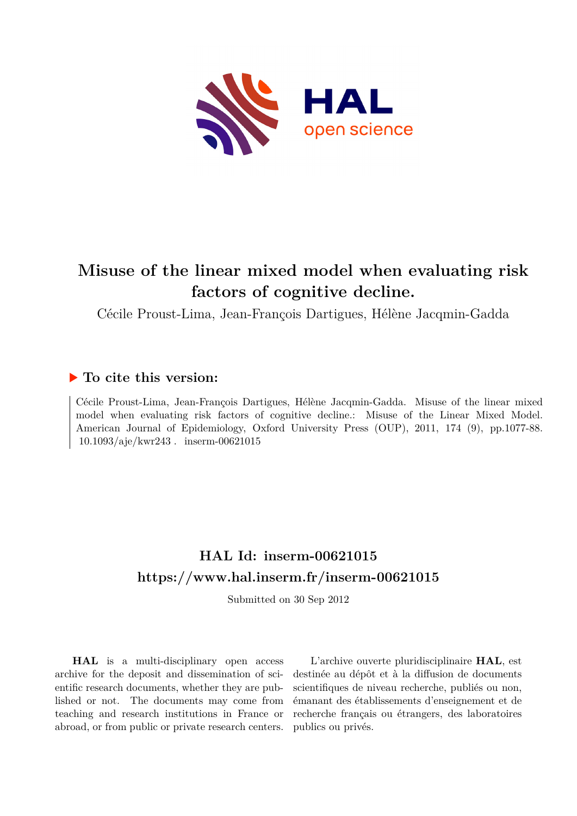

# **Misuse of the linear mixed model when evaluating risk factors of cognitive decline.**

Cécile Proust-Lima, Jean-François Dartigues, Hélène Jacqmin-Gadda

## **To cite this version:**

Cécile Proust-Lima, Jean-François Dartigues, Hélène Jacqmin-Gadda. Misuse of the linear mixed model when evaluating risk factors of cognitive decline.: Misuse of the Linear Mixed Model. American Journal of Epidemiology, Oxford University Press (OUP), 2011, 174 (9), pp.1077-88.  $10.1093/a{\rm j}$ e/kwr243 . inserm-00621015

# **HAL Id: inserm-00621015 <https://www.hal.inserm.fr/inserm-00621015>**

Submitted on 30 Sep 2012

**HAL** is a multi-disciplinary open access archive for the deposit and dissemination of scientific research documents, whether they are published or not. The documents may come from teaching and research institutions in France or abroad, or from public or private research centers.

L'archive ouverte pluridisciplinaire **HAL**, est destinée au dépôt et à la diffusion de documents scientifiques de niveau recherche, publiés ou non, émanant des établissements d'enseignement et de recherche français ou étrangers, des laboratoires publics ou privés.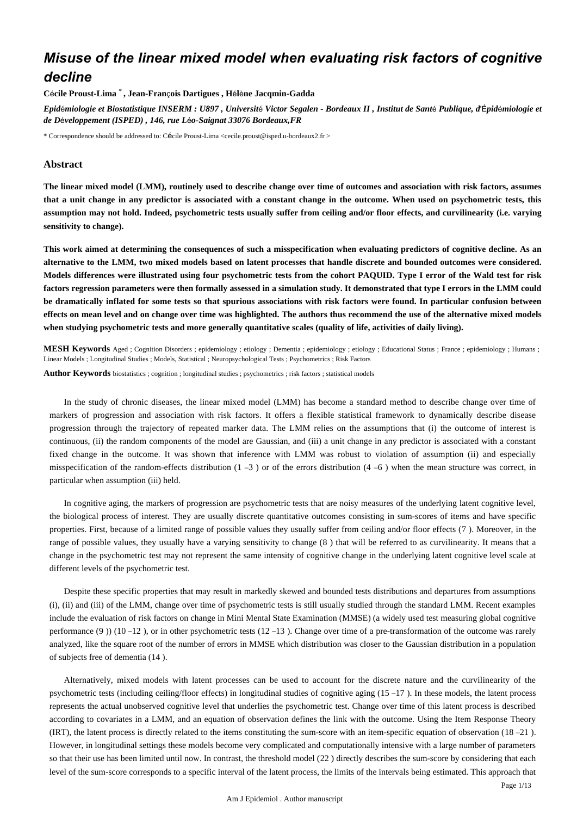## *Misuse of the linear mixed model when evaluating risk factors of cognitive decline*

**C**é**cile Proust-Lima** \* **, Jean-Fran**ç**ois Dartigues , H**é**l**è**ne Jacqmin-Gadda**

*Epid*é*miologie et Biostatistique INSERM : U897 , Universit*é *Victor Segalen - Bordeaux II , Institut de Sant*é *Publique, d*'É*pid*é*miologie et de D*é*veloppement (ISPED) , 146, rue L*é*o-Saignat 33076 Bordeaux,FR*

\* Correspondence should be addressed to: Cécile Proust-Lima <cecile.proust@isped.u-bordeaux2.fr >

## **Abstract**

**The linear mixed model (LMM), routinely used to describe change over time of outcomes and association with risk factors, assumes that a unit change in any predictor is associated with a constant change in the outcome. When used on psychometric tests, this assumption may not hold. Indeed, psychometric tests usually suffer from ceiling and/or floor effects, and curvilinearity (i.e. varying sensitivity to change).**

**This work aimed at determining the consequences of such a misspecification when evaluating predictors of cognitive decline. As an alternative to the LMM, two mixed models based on latent processes that handle discrete and bounded outcomes were considered. Models differences were illustrated using four psychometric tests from the cohort PAQUID. Type I error of the Wald test for risk factors regression parameters were then formally assessed in a simulation study. It demonstrated that type I errors in the LMM could be dramatically inflated for some tests so that spurious associations with risk factors were found. In particular confusion between effects on mean level and on change over time was highlighted. The authors thus recommend the use of the alternative mixed models when studying psychometric tests and more generally quantitative scales (quality of life, activities of daily living).**

**MESH Keywords** Aged ; Cognition Disorders ; epidemiology ; etiology ; Dementia ; epidemiology ; etiology ; Educational Status ; France ; epidemiology ; Humans ; Linear Models ; Longitudinal Studies ; Models, Statistical ; Neuropsychological Tests ; Psychometrics ; Risk Factors

**Author Keywords** biostatistics ; cognition ; longitudinal studies ; psychometrics ; risk factors ; statistical models

In the study of chronic diseases, the linear mixed model (LMM) has become a standard method to describe change over time of markers of progression and association with risk factors. It offers a flexible statistical framework to dynamically describe disease progression through the trajectory of repeated marker data. The LMM relies on the assumptions that (i) the outcome of interest is continuous, (ii) the random components of the model are Gaussian, and (iii) a unit change in any predictor is associated with a constant fixed change in the outcome. It was shown that inference with LMM was robust to violation of assumption (ii) and especially misspecification of the random-effects distribution  $(1 - 3)$  or of the errors distribution  $(4 - 6)$  when the mean structure was correct, in particular when assumption (iii) held.

In cognitive aging, the markers of progression are psychometric tests that are noisy measures of the underlying latent cognitive level, the biological process of interest. They are usually discrete quantitative outcomes consisting in sum-scores of items and have specific properties. First, because of a limited range of possible values they usually suffer from ceiling and/or floor effects (7 ). Moreover, in the range of possible values, they usually have a varying sensitivity to change (8 ) that will be referred to as curvilinearity. It means that a change in the psychometric test may not represent the same intensity of cognitive change in the underlying latent cognitive level scale at different levels of the psychometric test.

Despite these specific properties that may result in markedly skewed and bounded tests distributions and departures from assumptions (i), (ii) and (iii) of the LMM, change over time of psychometric tests is still usually studied through the standard LMM. Recent examples include the evaluation of risk factors on change in Mini Mental State Examination (MMSE) (a widely used test measuring global cognitive performance  $(9)$  (10 –12), or in other psychometric tests  $(12 -13)$ . Change over time of a pre-transformation of the outcome was rarely analyzed, like the square root of the number of errors in MMSE which distribution was closer to the Gaussian distribution in a population of subjects free of dementia (14 ).

Alternatively, mixed models with latent processes can be used to account for the discrete nature and the curvilinearity of the psychometric tests (including ceiling/floor effects) in longitudinal studies of cognitive aging (15 –17 ). In these models, the latent process represents the actual unobserved cognitive level that underlies the psychometric test. Change over time of this latent process is described according to covariates in a LMM, and an equation of observation defines the link with the outcome. Using the Item Response Theory (IRT), the latent process is directly related to the items constituting the sum-score with an item-specific equation of observation (18 –21 ). However, in longitudinal settings these models become very complicated and computationally intensive with a large number of parameters so that their use has been limited until now. In contrast, the threshold model (22 ) directly describes the sum-score by considering that each level of the sum-score corresponds to a specific interval of the latent process, the limits of the intervals being estimated. This approach that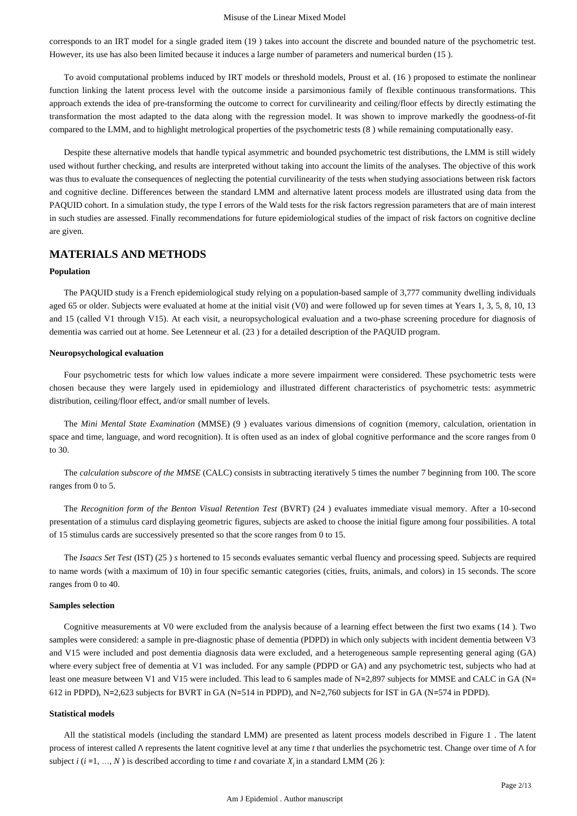corresponds to an IRT model for a single graded item (19 ) takes into account the discrete and bounded nature of the psychometric test. However, its use has also been limited because it induces a large number of parameters and numerical burden (15 ).

To avoid computational problems induced by IRT models or threshold models, Proust et al. (16 ) proposed to estimate the nonlinear function linking the latent process level with the outcome inside a parsimonious family of flexible continuous transformations. This approach extends the idea of pre-transforming the outcome to correct for curvilinearity and ceiling/floor effects by directly estimating the transformation the most adapted to the data along with the regression model. It was shown to improve markedly the goodness-of-fit compared to the LMM, and to highlight metrological properties of the psychometric tests (8 ) while remaining computationally easy.

Despite these alternative models that handle typical asymmetric and bounded psychometric test distributions, the LMM is still widely used without further checking, and results are interpreted without taking into account the limits of the analyses. The objective of this work was thus to evaluate the consequences of neglecting the potential curvilinearity of the tests when studying associations between risk factors and cognitive decline. Differences between the standard LMM and alternative latent process models are illustrated using data from the PAQUID cohort. In a simulation study, the type I errors of the Wald tests for the risk factors regression parameters that are of main interest in such studies are assessed. Finally recommendations for future epidemiological studies of the impact of risk factors on cognitive decline are given.

## **MATERIALS AND METHODS**

#### **Population**

The PAQUID study is a French epidemiological study relying on a population-based sample of 3,777 community dwelling individuals aged 65 or older. Subjects were evaluated at home at the initial visit (V0) and were followed up for seven times at Years 1, 3, 5, 8, 10, 13 and 15 (called V1 through V15). At each visit, a neuropsychological evaluation and a two-phase screening procedure for diagnosis of dementia was carried out at home. See Letenneur et al. (23 ) for a detailed description of the PAQUID program.

#### **Neuropsychological evaluation**

Four psychometric tests for which low values indicate a more severe impairment were considered. These psychometric tests were chosen because they were largely used in epidemiology and illustrated different characteristics of psychometric tests: asymmetric distribution, ceiling/floor effect, and/or small number of levels.

The *Mini Mental State Examination* (MMSE) (9 ) evaluates various dimensions of cognition (memory, calculation, orientation in space and time, language, and word recognition). It is often used as an index of global cognitive performance and the score ranges from 0 to 30.

The *calculation subscore of the MMSE* (CALC) consists in subtracting iteratively 5 times the number 7 beginning from 100. The score ranges from 0 to 5.

The *Recognition form of the Benton Visual Retention Test* (BVRT) (24 ) evaluates immediate visual memory. After a 10-second presentation of a stimulus card displaying geometric figures, subjects are asked to choose the initial figure among four possibilities. A total of 15 stimulus cards are successively presented so that the score ranges from 0 to 15.

The *Isaacs Set Test* (IST) (25 ) *s* hortened to 15 seconds evaluates semantic verbal fluency and processing speed. Subjects are required to name words (with a maximum of 10) in four specific semantic categories (cities, fruits, animals, and colors) in 15 seconds. The score ranges from 0 to 40.

#### **Samples selection**

Cognitive measurements at V0 were excluded from the analysis because of a learning effect between the first two exams (14 ). Two samples were considered: a sample in pre-diagnostic phase of dementia (PDPD) in which only subjects with incident dementia between V3 and V15 were included and post dementia diagnosis data were excluded, and a heterogeneous sample representing general aging (GA) where every subject free of dementia at V1 was included. For any sample (PDPD or GA) and any psychometric test, subjects who had at least one measure between V1 and V15 were included. This lead to 6 samples made of N=2,897 subjects for MMSE and CALC in GA (N= 612 in PDPD), N=2,623 subjects for BVRT in GA (N=514 in PDPD), and N=2,760 subjects for IST in GA (N=574 in PDPD).

#### **Statistical models**

All the statistical models (including the standard LMM) are presented as latent process models described in Figure 1 . The latent process of interest called Λ represents the latent cognitive level at any time *t* that underlies the psychometric test. Change over time of Λ for subject  $i$  ( $i$  =1, ...,  $N$ ) is described according to time  $t$  and covariate  $X_i$  in a standard LMM (26):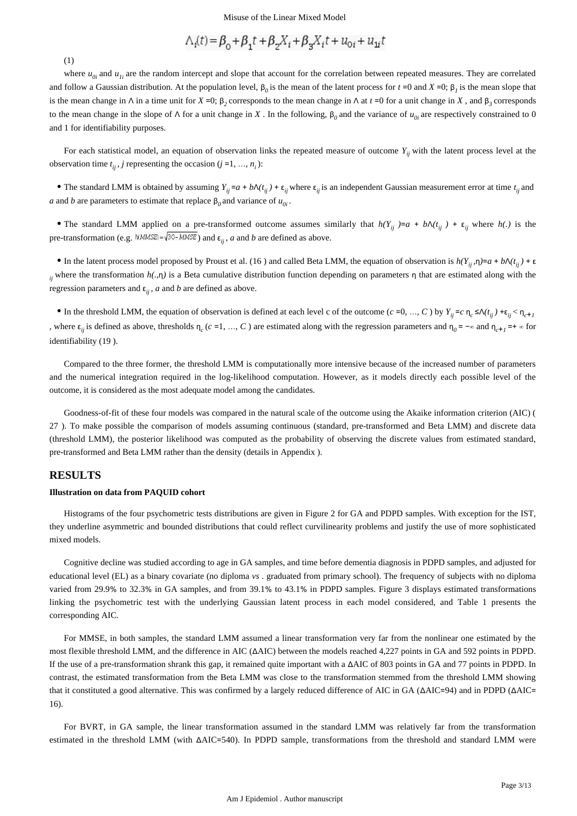$$
\Lambda_i(t) = \beta_0 + \beta_1 t + \beta_2 X_i + \beta_3 X_i t + u_{0i} + u_{1i} t
$$

(1)

where  $u_{0i}$  and  $u_{1i}$  are the random intercept and slope that account for the correlation between repeated measures. They are correlated and follow a Gaussian distribution. At the population level,  $\beta_0$  is the mean of the latent process for  $t = 0$  and  $X = 0$ ;  $\beta_1$  is the mean slope that is the mean change in  $\wedge$  in a time unit for  $X = 0$ ;  $\beta$ , corresponds to the mean change in  $\wedge$  at  $t = 0$  for a unit change in  $X$ , and  $\beta$ <sub>3</sub> corresponds to the mean change in the slope of Λ for a unit change in *X*. In the following,  $β<sub>0</sub>$  and the variance of  $u<sub>0i</sub>$  are respectively constrained to 0 and 1 for identifiability purposes.

For each statistical model, an equation of observation links the repeated measure of outcome  $Y_{ii}$  with the latent process level at the observation time  $t_{ii}$ , *j* representing the occasion (*j* =1, ..., *n<sub>i</sub>*):

The standard LMM is obtained by assuming  $Y_{ij} = a + b\Lambda(t_{ij}) + \varepsilon_{ij}$  where  $\varepsilon_{ij}$  is an independent Gaussian measurement error at time  $t_{ij}$  and *a* and *b* are parameters to estimate that replace  $\beta_0$  and variance of  $u_{0i}$ .

The standard LMM applied on a pre-transformed outcome assumes similarly that  $h(Y_{ij}) = a + b \Lambda(t_{ij}) + \varepsilon_{ij}$  where  $h(.)$  is the pre-transformation (e.g.  $\frac{h(MMSE)}{h} = \sqrt{30 - MMSE}$ ) and  $\varepsilon_{ii}$ , a and b are defined as above.

In the latent process model proposed by Proust et al. (16) and called Beta LMM, the equation of observation is  $h(Y_{ii}, \eta) = a + b\Lambda(t_{ii}) + \varepsilon$ *i*, where the transformation  $h(.,\eta)$  is a Beta cumulative distribution function depending on parameters  $\eta$  that are estimated along with the regression parameters and  $\varepsilon_{ii}$ , *a* and *b* are defined as above.

In the threshold LMM, the equation of observation is defined at each level c of the outcome  $(c = 0, ..., C)$  by  $Y_{ij} = c \eta_c \le \Lambda(t_{ij}) + \varepsilon_{ij} < \eta_{c+1}$ , where  $\varepsilon_{ij}$  is defined as above, thresholds  $\eta_c$  ( $c = 1, ..., C$ ) are estimated along with the regression parameters and  $\eta_0 = -\infty$  and  $\eta_{c+1} = +\infty$  for identifiability (19 ).

Compared to the three former, the threshold LMM is computationally more intensive because of the increased number of parameters and the numerical integration required in the log-likelihood computation. However, as it models directly each possible level of the outcome, it is considered as the most adequate model among the candidates.

Goodness-of-fit of these four models was compared in the natural scale of the outcome using the Akaike information criterion (AIC) ( 27 ). To make possible the comparison of models assuming continuous (standard, pre-transformed and Beta LMM) and discrete data (threshold LMM), the posterior likelihood was computed as the probability of observing the discrete values from estimated standard, pre-transformed and Beta LMM rather than the density (details in Appendix ).

## **RESULTS**

#### **Illustration on data from PAQUID cohort**

Histograms of the four psychometric tests distributions are given in Figure 2 for GA and PDPD samples. With exception for the IST, they underline asymmetric and bounded distributions that could reflect curvilinearity problems and justify the use of more sophisticated mixed models.

Cognitive decline was studied according to age in GA samples, and time before dementia diagnosis in PDPD samples, and adjusted for educational level (EL) as a binary covariate (no diploma *vs* . graduated from primary school). The frequency of subjects with no diploma varied from 29.9% to 32.3% in GA samples, and from 39.1% to 43.1% in PDPD samples. Figure 3 displays estimated transformations linking the psychometric test with the underlying Gaussian latent process in each model considered, and Table 1 presents the corresponding AIC.

For MMSE, in both samples, the standard LMM assumed a linear transformation very far from the nonlinear one estimated by the most flexible threshold LMM, and the difference in AIC (ΔAIC) between the models reached 4,227 points in GA and 592 points in PDPD. If the use of a pre-transformation shrank this gap, it remained quite important with a ΔAIC of 803 points in GA and 77 points in PDPD. In contrast, the estimated transformation from the Beta LMM was close to the transformation stemmed from the threshold LMM showing that it constituted a good alternative. This was confirmed by a largely reduced difference of AIC in GA (ΔAIC=94) and in PDPD (ΔAIC= 16).

For BVRT, in GA sample, the linear transformation assumed in the standard LMM was relatively far from the transformation estimated in the threshold LMM (with ΔAIC=540). In PDPD sample, transformations from the threshold and standard LMM were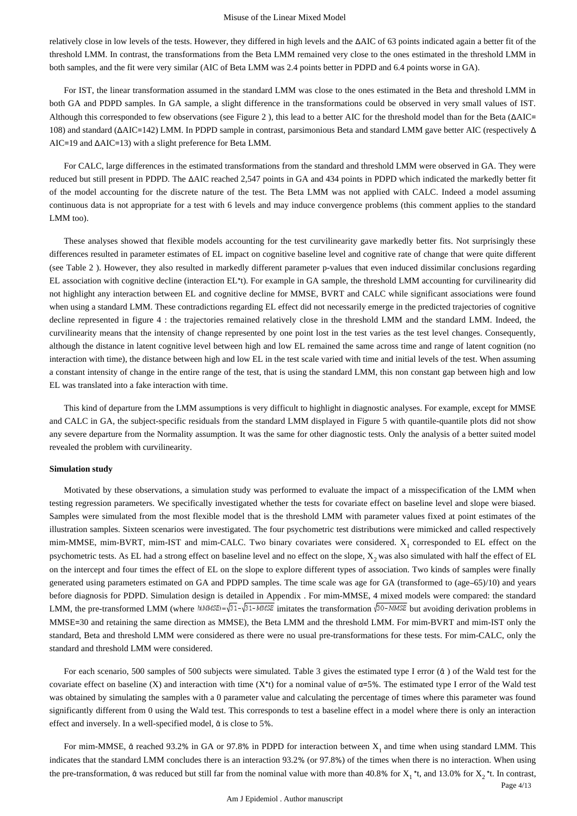#### Misuse of the Linear Mixed Model

relatively close in low levels of the tests. However, they differed in high levels and the ΔAIC of 63 points indicated again a better fit of the threshold LMM. In contrast, the transformations from the Beta LMM remained very close to the ones estimated in the threshold LMM in both samples, and the fit were very similar (AIC of Beta LMM was 2.4 points better in PDPD and 6.4 points worse in GA).

For IST, the linear transformation assumed in the standard LMM was close to the ones estimated in the Beta and threshold LMM in both GA and PDPD samples. In GA sample, a slight difference in the transformations could be observed in very small values of IST. Although this corresponded to few observations (see Figure 2 ), this lead to a better AIC for the threshold model than for the Beta (ΔAIC= 108) and standard (ΔAIC=142) LMM. In PDPD sample in contrast, parsimonious Beta and standard LMM gave better AIC (respectively Δ AIC=19 and ΔAIC=13) with a slight preference for Beta LMM.

For CALC, large differences in the estimated transformations from the standard and threshold LMM were observed in GA. They were reduced but still present in PDPD. The ΔAIC reached 2,547 points in GA and 434 points in PDPD which indicated the markedly better fit of the model accounting for the discrete nature of the test. The Beta LMM was not applied with CALC. Indeed a model assuming continuous data is not appropriate for a test with 6 levels and may induce convergence problems (this comment applies to the standard LMM too).

These analyses showed that flexible models accounting for the test curvilinearity gave markedly better fits. Not surprisingly these differences resulted in parameter estimates of EL impact on cognitive baseline level and cognitive rate of change that were quite different (see Table 2 ). However, they also resulted in markedly different parameter p-values that even induced dissimilar conclusions regarding EL association with cognitive decline (interaction EL\*t). For example in GA sample, the threshold LMM accounting for curvilinearity did not highlight any interaction between EL and cognitive decline for MMSE, BVRT and CALC while significant associations were found when using a standard LMM. These contradictions regarding EL effect did not necessarily emerge in the predicted trajectories of cognitive decline represented in figure 4 : the trajectories remained relatively close in the threshold LMM and the standard LMM. Indeed, the curvilinearity means that the intensity of change represented by one point lost in the test varies as the test level changes. Consequently, although the distance in latent cognitive level between high and low EL remained the same across time and range of latent cognition (no interaction with time), the distance between high and low EL in the test scale varied with time and initial levels of the test. When assuming a constant intensity of change in the entire range of the test, that is using the standard LMM, this non constant gap between high and low EL was translated into a fake interaction with time.

This kind of departure from the LMM assumptions is very difficult to highlight in diagnostic analyses. For example, except for MMSE and CALC in GA, the subject-specific residuals from the standard LMM displayed in Figure 5 with quantile-quantile plots did not show any severe departure from the Normality assumption. It was the same for other diagnostic tests. Only the analysis of a better suited model revealed the problem with curvilinearity.

#### **Simulation study**

Motivated by these observations, a simulation study was performed to evaluate the impact of a misspecification of the LMM when testing regression parameters. We specifically investigated whether the tests for covariate effect on baseline level and slope were biased. Samples were simulated from the most flexible model that is the threshold LMM with parameter values fixed at point estimates of the illustration samples. Sixteen scenarios were investigated. The four psychometric test distributions were mimicked and called respectively mim-MMSE, mim-BVRT, mim-IST and mim-CALC. Two binary covariates were considered.  $X_1$  corresponded to EL effect on the psychometric tests. As EL had a strong effect on baseline level and no effect on the slope,  $X_2$  was also simulated with half the effect of EL on the intercept and four times the effect of EL on the slope to explore different types of association. Two kinds of samples were finally generated using parameters estimated on GA and PDPD samples. The time scale was age for GA (transformed to (age–65)/10) and years before diagnosis for PDPD. Simulation design is detailed in Appendix . For mim-MMSE, 4 mixed models were compared: the standard LMM, the pre-transformed LMM (where  $\hbar(MMSE) = \sqrt{31 - MMSE}$  imitates the transformation  $\sqrt{30 - MMSE}$  but avoiding derivation problems in MMSE=30 and retaining the same direction as MMSE), the Beta LMM and the threshold LMM. For mim-BVRT and mim-IST only the standard, Beta and threshold LMM were considered as there were no usual pre-transformations for these tests. For mim-CALC, only the standard and threshold LMM were considered.

For each scenario, 500 samples of 500 subjects were simulated. Table 3 gives the estimated type I error (α̂) of the Wald test for the covariate effect on baseline (X) and interaction with time  $(X^*)$  for a nominal value of  $\alpha = 5\%$ . The estimated type I error of the Wald test was obtained by simulating the samples with a 0 parameter value and calculating the percentage of times where this parameter was found significantly different from 0 using the Wald test. This corresponds to test a baseline effect in a model where there is only an interaction effect and inversely. In a well-specified model,  $\hat{\alpha}$  is close to 5%.

For mim-MMSE,  $\hat{\alpha}$  reached 93.2% in GA or 97.8% in PDPD for interaction between  $X_1$  and time when using standard LMM. This indicates that the standard LMM concludes there is an interaction 93.2% (or 97.8%) of the times when there is no interaction. When using the pre-transformation,  $\hat{\alpha}$  was reduced but still far from the nominal value with more than 40.8% for  $X_1$ <sup>\*</sup>t, and 13.0% for  $X_2$ <sup>\*</sup>t. In contrast,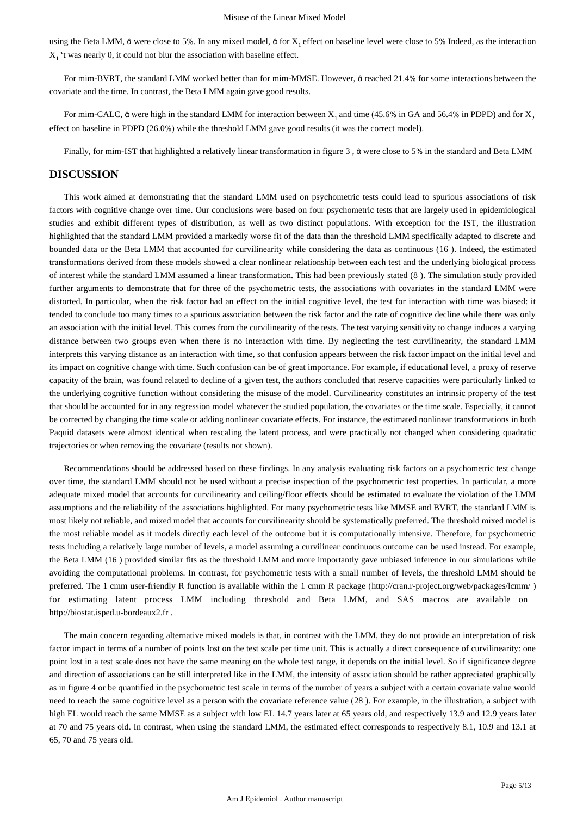using the Beta LMM,  $\hat{\alpha}$  were close to 5%. In any mixed model,  $\hat{\alpha}$  for X<sub>1</sub> effect on baseline level were close to 5% Indeed, as the interaction  $X_1$ <sup>\*</sup>t was nearly 0, it could not blur the association with baseline effect.

For mim-BVRT, the standard LMM worked better than for mim-MMSE. However, α̂reached 21.4% for some interactions between the covariate and the time. In contrast, the Beta LMM again gave good results.

For mim-CALC,  $\hat{\alpha}$  were high in the standard LMM for interaction between  $X_1$  and time (45.6% in GA and 56.4% in PDPD) and for  $X_2$ effect on baseline in PDPD (26.0%) while the threshold LMM gave good results (it was the correct model).

Finally, for mim-IST that highlighted a relatively linear transformation in figure 3 , α̂were close to 5% in the standard and Beta LMM

## **DISCUSSION**

This work aimed at demonstrating that the standard LMM used on psychometric tests could lead to spurious associations of risk factors with cognitive change over time. Our conclusions were based on four psychometric tests that are largely used in epidemiological studies and exhibit different types of distribution, as well as two distinct populations. With exception for the IST, the illustration highlighted that the standard LMM provided a markedly worse fit of the data than the threshold LMM specifically adapted to discrete and bounded data or the Beta LMM that accounted for curvilinearity while considering the data as continuous (16 ). Indeed, the estimated transformations derived from these models showed a clear nonlinear relationship between each test and the underlying biological process of interest while the standard LMM assumed a linear transformation. This had been previously stated (8 ). The simulation study provided further arguments to demonstrate that for three of the psychometric tests, the associations with covariates in the standard LMM were distorted. In particular, when the risk factor had an effect on the initial cognitive level, the test for interaction with time was biased: it tended to conclude too many times to a spurious association between the risk factor and the rate of cognitive decline while there was only an association with the initial level. This comes from the curvilinearity of the tests. The test varying sensitivity to change induces a varying distance between two groups even when there is no interaction with time. By neglecting the test curvilinearity, the standard LMM interprets this varying distance as an interaction with time, so that confusion appears between the risk factor impact on the initial level and its impact on cognitive change with time. Such confusion can be of great importance. For example, if educational level, a proxy of reserve capacity of the brain, was found related to decline of a given test, the authors concluded that reserve capacities were particularly linked to the underlying cognitive function without considering the misuse of the model. Curvilinearity constitutes an intrinsic property of the test that should be accounted for in any regression model whatever the studied population, the covariates or the time scale. Especially, it cannot be corrected by changing the time scale or adding nonlinear covariate effects. For instance, the estimated nonlinear transformations in both Paquid datasets were almost identical when rescaling the latent process, and were practically not changed when considering quadratic trajectories or when removing the covariate (results not shown).

Recommendations should be addressed based on these findings. In any analysis evaluating risk factors on a psychometric test change over time, the standard LMM should not be used without a precise inspection of the psychometric test properties. In particular, a more adequate mixed model that accounts for curvilinearity and ceiling/floor effects should be estimated to evaluate the violation of the LMM assumptions and the reliability of the associations highlighted. For many psychometric tests like MMSE and BVRT, the standard LMM is most likely not reliable, and mixed model that accounts for curvilinearity should be systematically preferred. The threshold mixed model is the most reliable model as it models directly each level of the outcome but it is computationally intensive. Therefore, for psychometric tests including a relatively large number of levels, a model assuming a curvilinear continuous outcome can be used instead. For example, the Beta LMM (16 ) provided similar fits as the threshold LMM and more importantly gave unbiased inference in our simulations while avoiding the computational problems. In contrast, for psychometric tests with a small number of levels, the threshold LMM should be preferred. The 1 cmm user-friendly R function is available within the 1 cmm R package (http://cran.r-project.org/web/packages/lcmm/ ) for estimating latent process LMM including threshold and Beta LMM, and SAS macros are available on http://biostat.isped.u-bordeaux2.fr .

The main concern regarding alternative mixed models is that, in contrast with the LMM, they do not provide an interpretation of risk factor impact in terms of a number of points lost on the test scale per time unit. This is actually a direct consequence of curvilinearity: one point lost in a test scale does not have the same meaning on the whole test range, it depends on the initial level. So if significance degree and direction of associations can be still interpreted like in the LMM, the intensity of association should be rather appreciated graphically as in figure 4 or be quantified in the psychometric test scale in terms of the number of years a subject with a certain covariate value would need to reach the same cognitive level as a person with the covariate reference value (28 ). For example, in the illustration, a subject with high EL would reach the same MMSE as a subject with low EL 14.7 years later at 65 years old, and respectively 13.9 and 12.9 years later at 70 and 75 years old. In contrast, when using the standard LMM, the estimated effect corresponds to respectively 8.1, 10.9 and 13.1 at 65, 70 and 75 years old.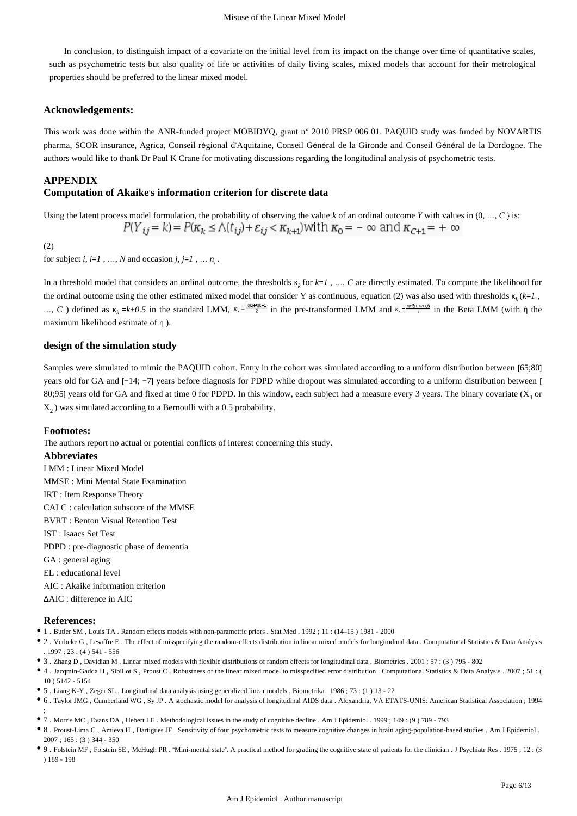In conclusion, to distinguish impact of a covariate on the initial level from its impact on the change over time of quantitative scales, such as psychometric tests but also quality of life or activities of daily living scales, mixed models that account for their metrological properties should be preferred to the linear mixed model.

### **Acknowledgements:**

This work was done within the ANR-funded project MOBIDYQ, grant n° 2010 PRSP 006 01. PAQUID study was funded by NOVARTIS pharma, SCOR insurance, Agrica, Conseil régional d'Aquitaine, Conseil Général de la Gironde and Conseil Général de la Dordogne. The authors would like to thank Dr Paul K Crane for motivating discussions regarding the longitudinal analysis of psychometric tests.

## **APPENDIX**

### **Computation of Akaike**'**s information criterion for discrete data**

Using the latent process model formulation, the probability of observing the value  $k$  of an ordinal outcome  $Y$  with values in  $\{0, \ldots, C\}$  is:

$$
P(Y_{ij} = k) = P(K_k \le \Lambda(t_{ij}) + \varepsilon_{ij} < K_{k+1}
$$
) with  $K_0 = -\infty$  and  $K_{C+1} = +\infty$ 

(2)

for subject *i*, *i*=*1*, …, *N* and occasion *j*, *j*=*1*, …  $n_i$ .

In a threshold model that considers an ordinal outcome, the thresholds  $\kappa_k$  for  $k=1$ , ..., C are directly estimated. To compute the likelihood for the ordinal outcome using the other estimated mixed model that consider Y as continuous, equation (2) was also used with thresholds  $\kappa_k$  ( $k=1$ ,  $\dots, C$ ) defined as  $\kappa_k = k + 0.5$  in the standard LMM,  $\kappa_k = \frac{h(k) + h(k+1)}{2}$  in the pre-transformed LMM and  $\kappa_k = \frac{h(k) + h(k+1)}{2}$  in the Beta LMM (with  $\hat{\eta}$  the maximum likelihood estimate of η ).

## **design of the simulation study**

Samples were simulated to mimic the PAQUID cohort. Entry in the cohort was simulated according to a uniform distribution between [65;80] years old for GA and [−14; −7] years before diagnosis for PDPD while dropout was simulated according to a uniform distribution between [ 80;95] years old for GA and fixed at time 0 for PDPD. In this window, each subject had a measure every 3 years. The binary covariate  $(X<sub>1</sub>$  or  $X<sub>2</sub>$ ) was simulated according to a Bernoulli with a 0.5 probability.

#### **Footnotes:**

The authors report no actual or potential conflicts of interest concerning this study.

**Abbreviates**

LMM : Linear Mixed Model MMSE : Mini Mental State Examination IRT : Item Response Theory CALC : calculation subscore of the MMSE BVRT : Benton Visual Retention Test IST : Isaacs Set Test

PDPD : pre-diagnostic phase of dementia

GA : general aging

EL : educational level

AIC : Akaike information criterion

ΔAIC : difference in AIC

#### **References:**

;

- 1 . Butler SM , Louis TA . Random effects models with non-parametric priors . Stat Med . 1992 ; 11 : (14–15 ) 1981 2000
- 2 . Verbeke G , Lesaffre E . The effect of misspecifying the random-effects distribution in linear mixed models for longitudinal data . Computational Statistics & Data Analysis . 1997 ; 23 : (4 ) 541 - 556
- 3 . Zhang D , Davidian M . Linear mixed models with flexible distributions of random effects for longitudinal data . Biometrics . 2001 ; 57 : (3 ) 795 802
- 4 . Jacqmin-Gadda H , Sibillot S , Proust C . Robustness of the linear mixed model to misspecified error distribution . Computational Statistics & Data Analysis . 2007 ; 51 : ( 10 ) 5142 - 5154
- 5 . Liang K-Y , Zeger SL . Longitudinal data analysis using generalized linear models . Biometrika . 1986 ; 73 : (1 ) 13 22
- 6 . Taylor JMG , Cumberland WG , Sy JP . A stochastic model for analysis of longitudinal AIDS data . Alexandria, VA ETATS-UNIS: American Statistical Association ; 1994
- 7 . Morris MC , Evans DA , Hebert LE . Methodological issues in the study of cognitive decline . Am J Epidemiol . 1999 ; 149 : (9 ) 789 793
- 8 . Proust-Lima C , Amieva H , Dartigues JF . Sensitivity of four psychometric tests to measure cognitive changes in brain aging-population-based studies . Am J Epidemiol .  $2007 : 165 : (3)$  344 - 350
- 9 . Folstein MF , Folstein SE , McHugh PR . "Mini-mental state". A practical method for grading the cognitive state of patients for the clinician . J Psychiatr Res . 1975 ; 12 : (3 ) 189 - 198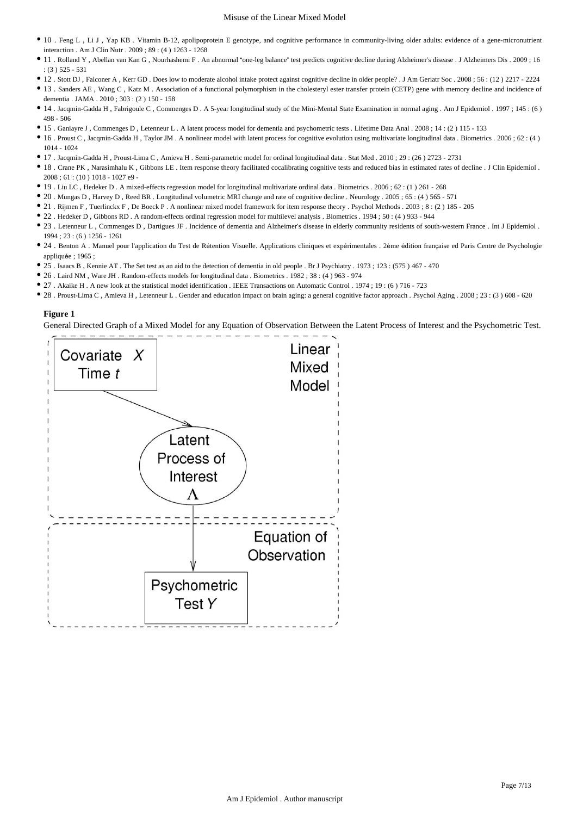#### Misuse of the Linear Mixed Model

- 10 . Feng L , Li J , Yap KB . Vitamin B-12, apolipoprotein E genotype, and cognitive performance in community-living older adults: evidence of a gene-micronutrient interaction . Am J Clin Nutr . 2009 ; 89 : (4 ) 1263 - 1268
- 11 . Rolland Y , Abellan van Kan G , Nourhashemi F . An abnormal "one-leg balance" test predicts cognitive decline during Alzheimer's disease . J Alzheimers Dis . 2009 ; 16 : (3 ) 525 - 531
- 12 . Stott DJ , Falconer A , Kerr GD . Does low to moderate alcohol intake protect against cognitive decline in older people? . J Am Geriatr Soc . 2008 ; 56 : (12 ) 2217 2224
- 13 . Sanders AE , Wang C , Katz M . Association of a functional polymorphism in the cholesteryl ester transfer protein (CETP) gene with memory decline and incidence of dementia . JAMA . 2010 ; 303 : (2 ) 150 - 158
- 14 . Jacqmin-Gadda H , Fabrigoule C , Commenges D . A 5-year longitudinal study of the Mini-Mental State Examination in normal aging . Am J Epidemiol . 1997 ; 145 : (6 ) 498 - 506
- 15 . Ganiayre J , Commenges D , Letenneur L . A latent process model for dementia and psychometric tests . Lifetime Data Anal . 2008 ; 14 : (2 ) 115 133
- 16 . Proust C , Jacqmin-Gadda H , Taylor JM . A nonlinear model with latent process for cognitive evolution using multivariate longitudinal data . Biometrics . 2006 ; 62 : (4 ) 1014 - 1024
- 17 . Jacqmin-Gadda H , Proust-Lima C , Amieva H . Semi-parametric model for ordinal longitudinal data . Stat Med . 2010 ; 29 : (26 ) 2723 2731
- 18 . Crane PK , Narasimhalu K , Gibbons LE . Item response theory facilitated cocalibrating cognitive tests and reduced bias in estimated rates of decline . J Clin Epidemiol .  $2008 \cdot 61 \cdot (10) 1018 - 1027 e9$
- 19 . Liu LC , Hedeker D . A mixed-effects regression model for longitudinal multivariate ordinal data . Biometrics . 2006 ; 62 : (1 ) 261 268
- 20 . Mungas D , Harvey D , Reed BR . Longitudinal volumetric MRI change and rate of cognitive decline . Neurology . 2005 ; 65 : (4 ) 565 571
- 21 . Rijmen F , Tuerlinckx F , De Boeck P . A nonlinear mixed model framework for item response theory . Psychol Methods . 2003 ; 8 : (2 ) 185 205
- 22 . Hedeker D , Gibbons RD . A random-effects ordinal regression model for multilevel analysis . Biometrics . 1994 ; 50 : (4 ) 933 944
- 23 . Letenneur L , Commenges D , Dartigues JF . Incidence of dementia and Alzheimer's disease in elderly community residents of south-western France . Int J Epidemiol . 1994 ; 23 : (6 ) 1256 - 1261
- 24 . Benton A . Manuel pour l'application du Test de Rétention Visuelle. Applications cliniques et expérimentales . 2ème édition française ed Paris Centre de Psychologie appliquée : 1965 :
- 25 . Isaacs B , Kennie AT . The Set test as an aid to the detection of dementia in old people . Br J Psychiatry . 1973 ; 123 : (575 ) 467 470
- 26 . Laird NM , Ware JH . Random-effects models for longitudinal data . Biometrics . 1982 ; 38 : (4 ) 963 974
- 27 . Akaike H . A new look at the statistical model identification . IEEE Transactions on Automatic Control . 1974 ; 19 : (6 ) 716 723
- 28 . Proust-Lima C , Amieva H , Letenneur L . Gender and education impact on brain aging: a general cognitive factor approach . Psychol Aging . 2008 ; 23 : (3 ) 608 620

#### **Figure 1**

General Directed Graph of a Mixed Model for any Equation of Observation Between the Latent Process of Interest and the Psychometric Test.

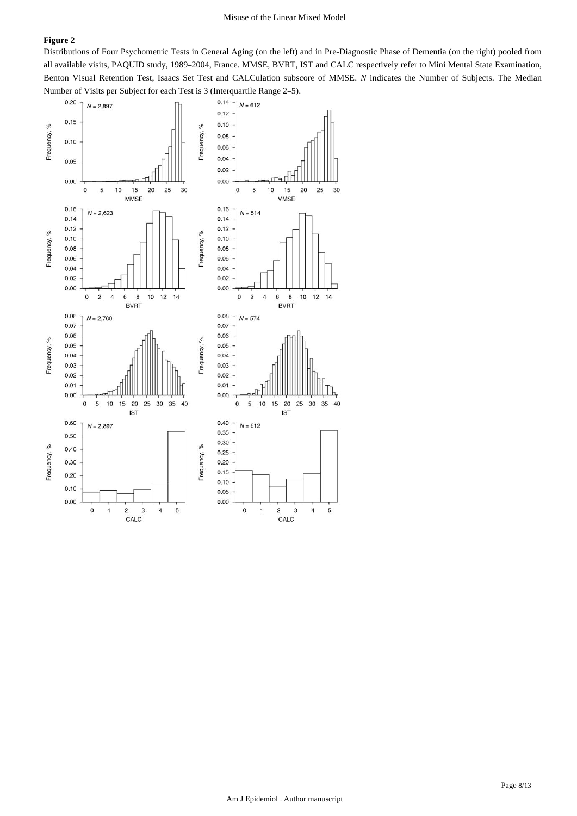Distributions of Four Psychometric Tests in General Aging (on the left) and in Pre-Diagnostic Phase of Dementia (on the right) pooled from all available visits, PAQUID study, 1989–2004, France. MMSE, BVRT, IST and CALC respectively refer to Mini Mental State Examination, Benton Visual Retention Test, Isaacs Set Test and CALCulation subscore of MMSE. *N* indicates the Number of Subjects. The Median Number of Visits per Subject for each Test is 3 (Interquartile Range 2–5).

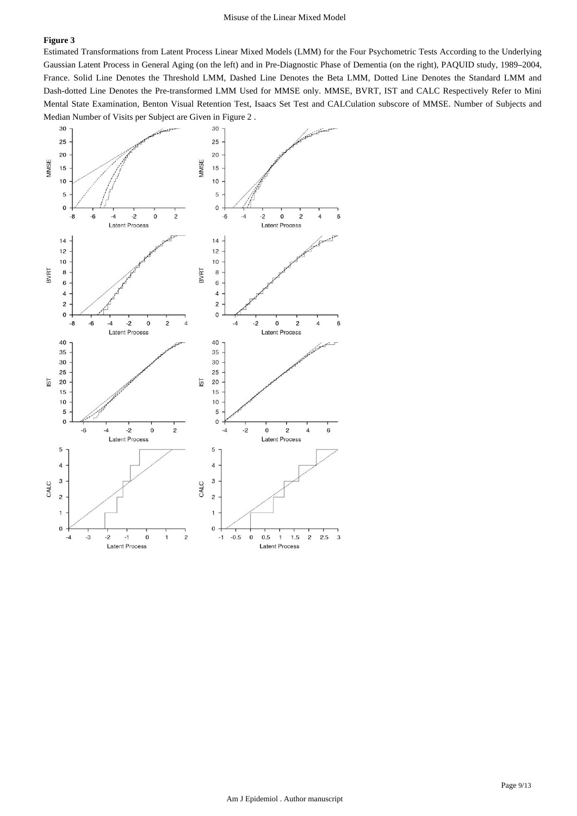Estimated Transformations from Latent Process Linear Mixed Models (LMM) for the Four Psychometric Tests According to the Underlying Gaussian Latent Process in General Aging (on the left) and in Pre-Diagnostic Phase of Dementia (on the right), PAQUID study, 1989–2004, France. Solid Line Denotes the Threshold LMM, Dashed Line Denotes the Beta LMM, Dotted Line Denotes the Standard LMM and Dash-dotted Line Denotes the Pre-transformed LMM Used for MMSE only. MMSE, BVRT, IST and CALC Respectively Refer to Mini Mental State Examination, Benton Visual Retention Test, Isaacs Set Test and CALCulation subscore of MMSE. Number of Subjects and Median Number of Visits per Subject are Given in Figure 2 .

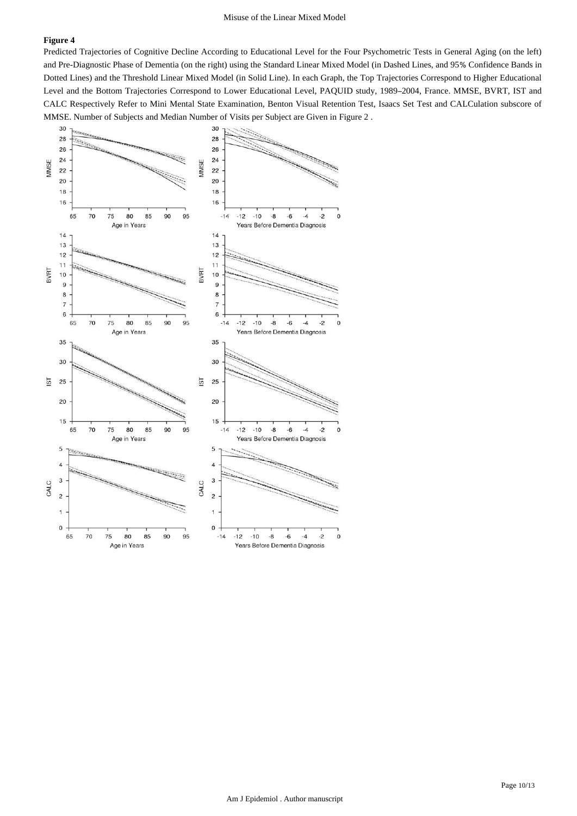Predicted Trajectories of Cognitive Decline According to Educational Level for the Four Psychometric Tests in General Aging (on the left) and Pre-Diagnostic Phase of Dementia (on the right) using the Standard Linear Mixed Model (in Dashed Lines, and 95% Confidence Bands in Dotted Lines) and the Threshold Linear Mixed Model (in Solid Line). In each Graph, the Top Trajectories Correspond to Higher Educational Level and the Bottom Trajectories Correspond to Lower Educational Level, PAQUID study, 1989–2004, France. MMSE, BVRT, IST and CALC Respectively Refer to Mini Mental State Examination, Benton Visual Retention Test, Isaacs Set Test and CALCulation subscore of MMSE. Number of Subjects and Median Number of Visits per Subject are Given in Figure 2 .

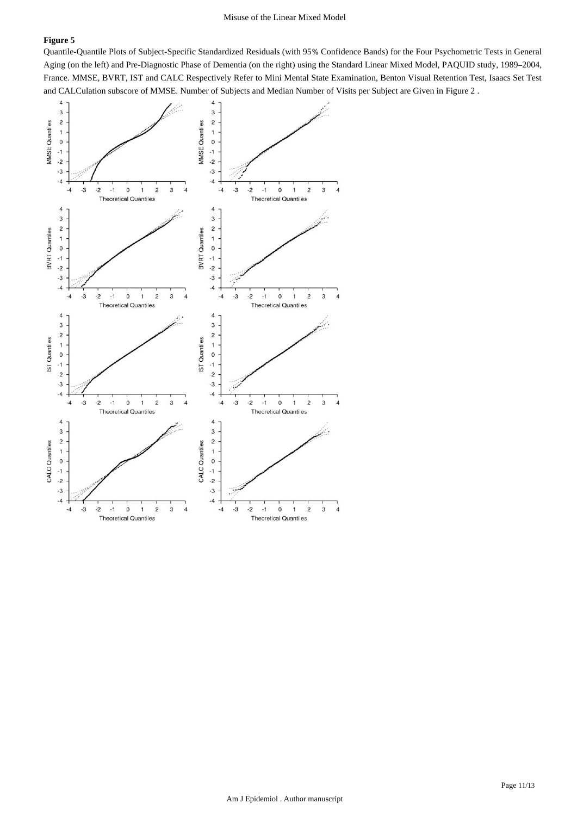Quantile-Quantile Plots of Subject-Specific Standardized Residuals (with 95% Confidence Bands) for the Four Psychometric Tests in General Aging (on the left) and Pre-Diagnostic Phase of Dementia (on the right) using the Standard Linear Mixed Model, PAQUID study, 1989–2004, France. MMSE, BVRT, IST and CALC Respectively Refer to Mini Mental State Examination, Benton Visual Retention Test, Isaacs Set Test and CALCulation subscore of MMSE. Number of Subjects and Median Number of Visits per Subject are Given in Figure 2 .

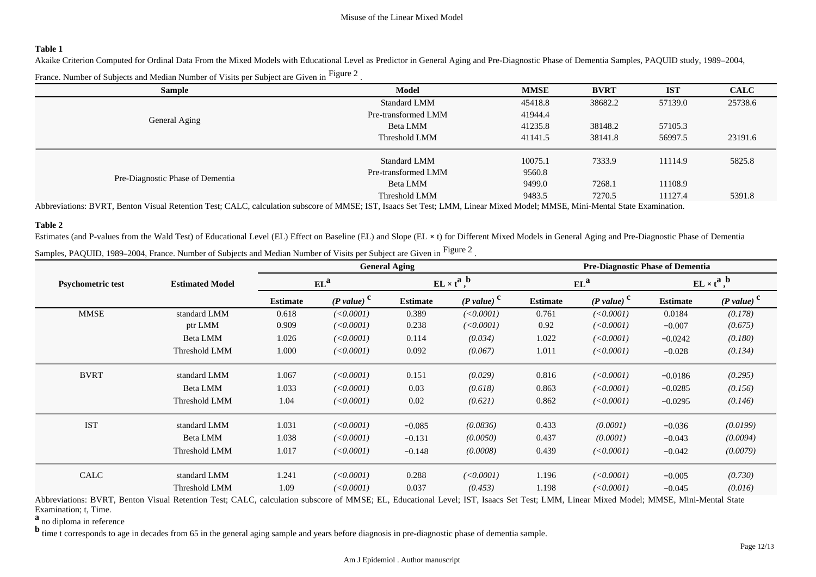#### **Table 1**

Akaike Criterion Computed for Ordinal Data From the Mixed Models with Educational Level as Predictor in General Aging and Pre-Diagnostic Phase of Dementia Samples, PAQUID study, 1989–2004, France. Number of Subjects and Median Number of Visits per Subject are Given in  ${}^{\rm Figure~2}$  .

| <b>Sample</b>                                                                                                   | Model                                                                                                                            | <b>MMSE</b> | <b>BVRT</b> | <b>IST</b> | <b>CALC</b> |
|-----------------------------------------------------------------------------------------------------------------|----------------------------------------------------------------------------------------------------------------------------------|-------------|-------------|------------|-------------|
|                                                                                                                 | <b>Standard LMM</b>                                                                                                              | 45418.8     | 38682.2     | 57139.0    | 25738.6     |
| General Aging                                                                                                   | Pre-transformed LMM                                                                                                              | 41944.4     |             |            |             |
|                                                                                                                 | Beta LMM                                                                                                                         | 41235.8     | 38148.2     | 57105.3    |             |
|                                                                                                                 | Threshold LMM                                                                                                                    | 41141.5     | 38141.8     | 56997.5    | 23191.6     |
|                                                                                                                 | <b>Standard LMM</b>                                                                                                              | 10075.1     | 7333.9      | 11114.9    | 5825.8      |
|                                                                                                                 | Pre-transformed LMM                                                                                                              | 9560.8      |             |            |             |
| Pre-Diagnostic Phase of Dementia                                                                                | Beta LMM                                                                                                                         | 9499.0      | 7268.1      | 11108.9    |             |
| the contract of the contract of the contract of the contract of the contract of the contract of the contract of | Threshold LMM<br>the contract of the contract of the contract of the contract of the contract of the contract of the contract of | 9483.5      | 7270.5      | 11127.4    | 5391.8      |

Abbreviations: BVRT, Benton Visual Retention Test; CALC, calculation subscore of MMSE; IST, Isaacs Set Test; LMM, Linear Mixed Model; MMSE, Mini-Mental State Examination.

#### **Table 2**

Estimates (and P-values from the Wald Test) of Educational Level (EL) Effect on Baseline (EL) and Slope (EL × t) for Different Mixed Models in General Aging and Pre-Diagnostic Phase of Dementia Samples, PAQUID, 1989–2004, France. Number of Subjects and Median Number of Visits per Subject are Given in  ${}^{\rm Figure~2}$  .

|                          |                        |                 |                          | <b>General Aging</b> |                          | <b>Pre-Diagnostic Phase of Dementia</b> |                          |                 |                                |  |
|--------------------------|------------------------|-----------------|--------------------------|----------------------|--------------------------|-----------------------------------------|--------------------------|-----------------|--------------------------------|--|
| <b>Psychometric test</b> | <b>Estimated Model</b> |                 | $EL^a$                   |                      | $EL \times t^a$ ,        |                                         | $EL^a$                   |                 | $EL \times t^a$ , <sup>b</sup> |  |
|                          |                        | <b>Estimate</b> | $(P value)^{\mathbf{C}}$ | <b>Estimate</b>      | $(P$ value) <sup>c</sup> | <b>Estimate</b>                         | $(P$ value) <sup>c</sup> | <b>Estimate</b> | $(P$ value) <sup>c</sup>       |  |
| <b>MMSE</b>              | standard LMM           | 0.618           | (<0.0001)                | 0.389                | (<0.0001)                | 0.761                                   | (<0.0001)                | 0.0184          | (0.178)                        |  |
|                          | ptr LMM                | 0.909           | (<0.0001)                | 0.238                | (<0.0001)                | 0.92                                    | (<0.0001)                | $-0.007$        | (0.675)                        |  |
|                          | Beta LMM               | 1.026           | (<0.0001)                | 0.114                | (0.034)                  | 1.022                                   | (<0.0001)                | $-0.0242$       | (0.180)                        |  |
|                          | Threshold LMM          | 1.000           | (<0.0001)                | 0.092                | (0.067)                  | 1.011                                   | (<0.0001)                | $-0.028$        | (0.134)                        |  |
| <b>BVRT</b>              | standard LMM           | 1.067           | (<0.0001)                | 0.151                | (0.029)                  | 0.816                                   | (<0.0001)                | $-0.0186$       | (0.295)                        |  |
|                          | Beta LMM               | 1.033           | (<0.0001)                | 0.03                 | (0.618)                  | 0.863                                   | (<0.0001)                | $-0.0285$       | (0.156)                        |  |
|                          | Threshold LMM          | 1.04            | (<0.0001)                | 0.02                 | (0.621)                  | 0.862                                   | (<0.0001)                | $-0.0295$       | (0.146)                        |  |
| <b>IST</b>               | standard LMM           | 1.031           | (<0.0001)                | $-0.085$             | (0.0836)                 | 0.433                                   | (0.0001)                 | $-0.036$        | (0.0199)                       |  |
|                          | Beta LMM               | 1.038           | (<0.0001)                | $-0.131$             | (0.0050)                 | 0.437                                   | (0.0001)                 | $-0.043$        | (0.0094)                       |  |
|                          | Threshold LMM          | 1.017           | (<0.0001)                | $-0.148$             | (0.0008)                 | 0.439                                   | (<0.0001)                | $-0.042$        | (0.0079)                       |  |
| CALC                     | standard LMM           | 1.241           | (<0.0001)                | 0.288                | (<0.0001)                | 1.196                                   | (<0.0001)                | $-0.005$        | (0.730)                        |  |
|                          | Threshold LMM          | 1.09            | (<0.0001)                | 0.037                | (0.453)                  | 1.198                                   | (<0.0001)                | $-0.045$        | (0.016)                        |  |

Abbreviations: BVRT, Benton Visual Retention Test; CALC, calculation subscore of MMSE; EL, Educational Level; IST, Isaacs Set Test; LMM, Linear Mixed Model; MMSE, Mini-Mental State Examination; t, Time.

**<sup>a</sup>**no diploma in reference

**b**<sub>time t corresponds to age in decades from 65 in the general aging sample and years before diagnosis in pre-diagnostic phase of dementia sample.</sub>